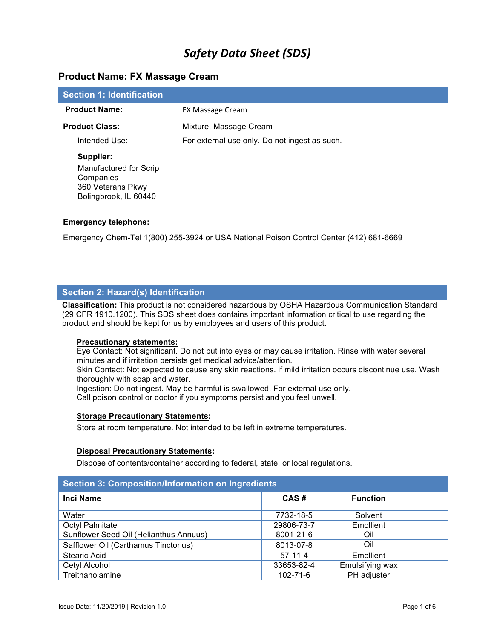# **Product Name: FX Massage Cream**

| <b>Section 1: Identification</b>                                                  |                                               |
|-----------------------------------------------------------------------------------|-----------------------------------------------|
| <b>Product Name:</b>                                                              | FX Massage Cream                              |
| <b>Product Class:</b>                                                             | Mixture, Massage Cream                        |
| Intended Use:                                                                     | For external use only. Do not ingest as such. |
| Supplier:                                                                         |                                               |
| Manufactured for Scrip<br>Companies<br>360 Veterans Pkwy<br>Bolingbrook, IL 60440 |                                               |

## **Emergency telephone:**

Emergency Chem-Tel 1(800) 255-3924 or USA National Poison Control Center (412) 681-6669

## **Section 2: Hazard(s) Identification**

**Classification:** This product is not considered hazardous by OSHA Hazardous Communication Standard (29 CFR 1910.1200). This SDS sheet does contains important information critical to use regarding the product and should be kept for us by employees and users of this product.

#### **Precautionary statements:**

Eye Contact: Not significant. Do not put into eyes or may cause irritation. Rinse with water several minutes and if irritation persists get medical advice/attention.

Skin Contact: Not expected to cause any skin reactions. if mild irritation occurs discontinue use. Wash thoroughly with soap and water.

Ingestion: Do not ingest. May be harmful is swallowed. For external use only.

Call poison control or doctor if you symptoms persist and you feel unwell.

#### **Storage Precautionary Statements:**

Store at room temperature. Not intended to be left in extreme temperatures.

## **Disposal Precautionary Statements:**

Dispose of contents/container according to federal, state, or local regulations.

| <b>Section 3: Composition/Information on Ingredients</b> |                |                 |  |  |
|----------------------------------------------------------|----------------|-----------------|--|--|
| <b>Inci Name</b>                                         | CAS#           | <b>Function</b> |  |  |
| Water                                                    | 7732-18-5      | Solvent         |  |  |
| <b>Octyl Palmitate</b>                                   | 29806-73-7     | Emollient       |  |  |
| Sunflower Seed Oil (Helianthus Annuus)                   | 8001-21-6      | Oil             |  |  |
| Safflower Oil (Carthamus Tinctorius)                     | 8013-07-8      | Oil             |  |  |
| <b>Stearic Acid</b>                                      | $57-11-4$      | Emollient       |  |  |
| Cetyl Alcohol                                            | 33653-82-4     | Emulsifying wax |  |  |
| Treithanolamine                                          | $102 - 71 - 6$ | PH adjuster     |  |  |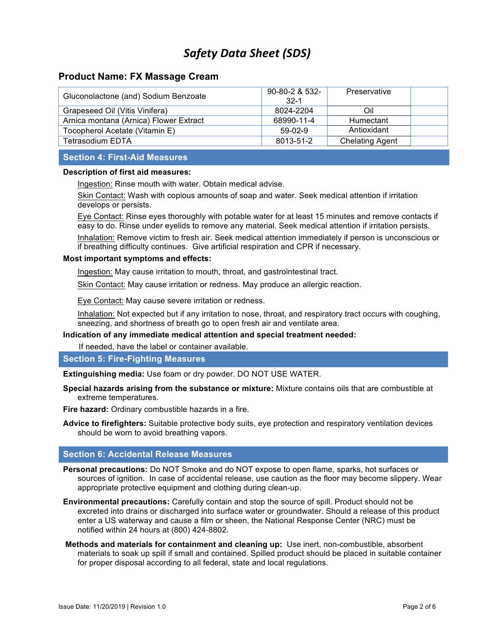# **Product Name: FX Massage Cream**

| Gluconolactone (and) Sodium Benzoate   | $90 - 80 - 2$ & 532-<br>$32-1$ | Preservative           |  |
|----------------------------------------|--------------------------------|------------------------|--|
| Grapeseed Oil (Vitis Vinifera)         | 8024-2204                      | Oil                    |  |
| Arnica montana (Arnica) Flower Extract | 68990-11-4                     | Humectant              |  |
| Tocopherol Acetate (Vitamin E)         | $59-02-9$                      | Antioxidant            |  |
| Tetrasodium EDTA                       | 8013-51-2                      | <b>Chelating Agent</b> |  |
|                                        |                                |                        |  |

# **Section 4: First-Aid Measures**

# **Description of first aid measures:**

Ingestion: Rinse mouth with water. Obtain medical advise.

Skin Contact: Wash with copious amounts of soap and water. Seek medical attention if irritation develops or persists.

Eye Contact: Rinse eyes thoroughly with potable water for at least 15 minutes and remove contacts if easy to do. Rinse under eyelids to remove any material. Seek medical attention if irritation persists.

Inhalation: Remove victim to fresh air. Seek medical attention immediately if person is unconscious or if breathing difficulty continues. Give artificial respiration and CPR if necessary.

#### **Most important symptoms and effects:**

Ingestion: May cause irritation to mouth, throat, and gastrointestinal tract.

Skin Contact: May cause irritation or redness. May produce an allergic reaction.

Eye Contact: May cause severe irritation or redness.

Inhalation: Not expected but if any irritation to nose, throat, and respiratory tract occurs with coughing, sneezing, and shortness of breath go to open fresh air and ventilate area.

#### **Indication of any immediate medical attention and special treatment needed:**

If needed, have the label or container available.

# **Section 5: Fire-Fighting Measures**

**Extinguishing media:** Use foam or dry powder. DO NOT USE WATER.

**Special hazards arising from the substance or mixture:** Mixture contains oils that are combustible at extreme temperatures.

**Fire hazard:** Ordinary combustible hazards in a fire.

**Advice to firefighters:** Suitable protective body suits, eye protection and respiratory ventilation devices should be worn to avoid breathing vapors.

# **Section 6: Accidental Release Measures**

- **Personal precautions:** Do NOT Smoke and do NOT expose to open flame, sparks, hot surfaces or sources of ignition.In case of accidental release, use caution as the floor may become slippery. Wear appropriate protective equipment and clothing during clean-up.
- **Environmental precautions:** Carefully contain and stop the source of spill. Product should not be excreted into drains or discharged into surface water or groundwater. Should a release of this product enter a US waterway and cause a film or sheen, the National Response Center (NRC) must be notified within 24 hours at (800) 424-8802.
- **Methods and materials for containment and cleaning up:** Use inert, non-combustible, absorbent materials to soak up spill if small and contained. Spilled product should be placed in suitable container for proper disposal according to all federal, state and local regulations.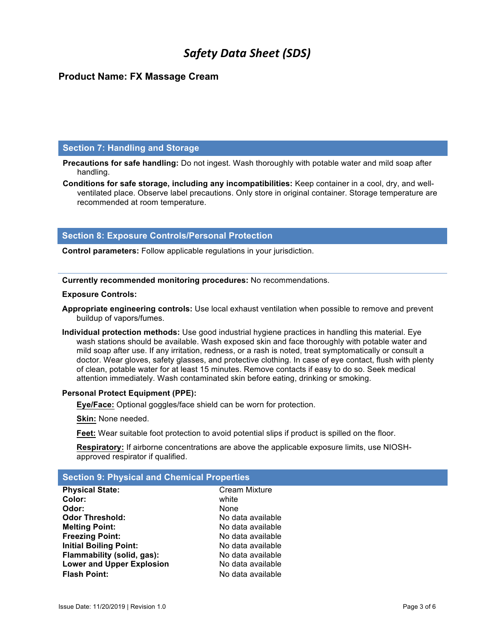# **Product Name: FX Massage Cream**

# **Section 7: Handling and Storage**

**Precautions for safe handling:** Do not ingest. Wash thoroughly with potable water and mild soap after handling.

**Conditions for safe storage, including any incompatibilities:** Keep container in a cool, dry, and wellventilated place. Observe label precautions. Only store in original container. Storage temperature are recommended at room temperature.

# **Section 8: Exposure Controls/Personal Protection**

**Control parameters:** Follow applicable regulations in your jurisdiction.

**Currently recommended monitoring procedures:** No recommendations.

#### **Exposure Controls:**

**Appropriate engineering controls:** Use local exhaust ventilation when possible to remove and prevent buildup of vapors/fumes.

**Individual protection methods:** Use good industrial hygiene practices in handling this material. Eye wash stations should be available. Wash exposed skin and face thoroughly with potable water and mild soap after use. If any irritation, redness, or a rash is noted, treat symptomatically or consult a doctor. Wear gloves, safety glasses, and protective clothing. In case of eye contact, flush with plenty of clean, potable water for at least 15 minutes. Remove contacts if easy to do so. Seek medical attention immediately. Wash contaminated skin before eating, drinking or smoking.

## **Personal Protect Equipment (PPE):**

**Eye/Face:** Optional goggles/face shield can be worn for protection.

**Skin:** None needed.

**Feet:** Wear suitable foot protection to avoid potential slips if product is spilled on the floor.

**Respiratory:** If airborne concentrations are above the applicable exposure limits, use NIOSHapproved respirator if qualified.

**Cream Mixture** 

## **Section 9: Physical and Chemical Properties**

| <b>Physical State:</b>           | Crear |
|----------------------------------|-------|
| Color:                           | white |
| Odor:                            | None  |
| <b>Odor Threshold:</b>           | No da |
| <b>Melting Point:</b>            | No da |
| <b>Freezing Point:</b>           | No da |
| <b>Initial Boiling Point:</b>    | No da |
| Flammability (solid, gas):       | No da |
| <b>Lower and Upper Explosion</b> | No da |
| <b>Flash Point:</b>              | No da |

**Odor Threshold:** No data available **Melting Point:** No data available **Freezing Point:** No data available **Initial Boiling Point:** No data available No data available No data available **Flash Point:** No data available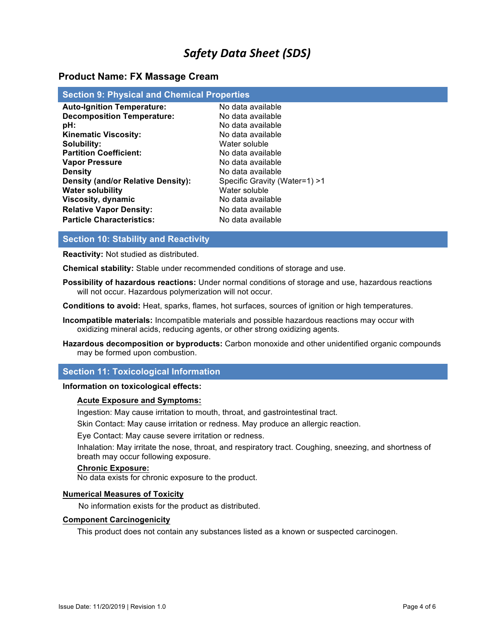# **Product Name: FX Massage Cream**

| <b>Section 9: Physical and Chemical Properties</b> |                               |  |  |  |
|----------------------------------------------------|-------------------------------|--|--|--|
| <b>Auto-Ignition Temperature:</b>                  | No data available             |  |  |  |
| <b>Decomposition Temperature:</b>                  | No data available             |  |  |  |
| pH:                                                | No data available             |  |  |  |
| <b>Kinematic Viscosity:</b>                        | No data available             |  |  |  |
| Solubility:                                        | Water soluble                 |  |  |  |
| <b>Partition Coefficient:</b>                      | No data available             |  |  |  |
| <b>Vapor Pressure</b>                              | No data available             |  |  |  |
| <b>Density</b>                                     | No data available             |  |  |  |
| <b>Density (and/or Relative Density):</b>          | Specific Gravity (Water=1) >1 |  |  |  |
| <b>Water solubility</b>                            | Water soluble                 |  |  |  |
| Viscosity, dynamic                                 | No data available             |  |  |  |
| <b>Relative Vapor Density:</b>                     | No data available             |  |  |  |
| <b>Particle Characteristics:</b>                   | No data available             |  |  |  |

# **Section 10: Stability and Reactivity**

**Reactivity:** Not studied as distributed.

**Chemical stability:** Stable under recommended conditions of storage and use.

**Possibility of hazardous reactions:** Under normal conditions of storage and use, hazardous reactions will not occur. Hazardous polymerization will not occur.

**Conditions to avoid:** Heat, sparks, flames, hot surfaces, sources of ignition or high temperatures.

- **Incompatible materials:** Incompatible materials and possible hazardous reactions may occur with oxidizing mineral acids, reducing agents, or other strong oxidizing agents.
- **Hazardous decomposition or byproducts:** Carbon monoxide and other unidentified organic compounds may be formed upon combustion.

## **Section 11: Toxicological Information**

#### **Information on toxicological effects:**

#### **Acute Exposure and Symptoms:**

Ingestion: May cause irritation to mouth, throat, and gastrointestinal tract.

Skin Contact: May cause irritation or redness. May produce an allergic reaction.

Eye Contact: May cause severe irritation or redness.

Inhalation: May irritate the nose, throat, and respiratory tract. Coughing, sneezing, and shortness of breath may occur following exposure.

#### **Chronic Exposure:**

No data exists for chronic exposure to the product.

#### **Numerical Measures of Toxicity**

No information exists for the product as distributed.

#### **Component Carcinogenicity**

This product does not contain any substances listed as a known or suspected carcinogen.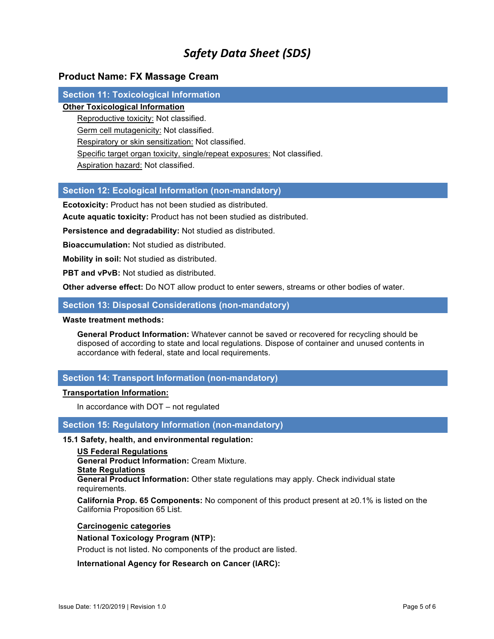# **Product Name: FX Massage Cream**

# **Section 11: Toxicological Information**

# **Other Toxicological Information**

Reproductive toxicity: Not classified.

Germ cell mutagenicity: Not classified.

Respiratory or skin sensitization: Not classified.

Specific target organ toxicity, single/repeat exposures: Not classified.

Aspiration hazard: Not classified.

# **Section 12: Ecological Information (non-mandatory)**

**Ecotoxicity:** Product has not been studied as distributed.

**Acute aquatic toxicity:** Product has not been studied as distributed.

**Persistence and degradability:** Not studied as distributed.

**Bioaccumulation:** Not studied as distributed.

**Mobility in soil:** Not studied as distributed.

**PBT and vPvB:** Not studied as distributed.

**Other adverse effect:** Do NOT allow product to enter sewers, streams or other bodies of water.

## **Section 13: Disposal Considerations (non-mandatory)**

#### **Waste treatment methods:**

**General Product Information:** Whatever cannot be saved or recovered for recycling should be disposed of according to state and local regulations. Dispose of container and unused contents in accordance with federal, state and local requirements.

# **Section 14: Transport Information (non-mandatory)**

## **Transportation Information:**

In accordance with DOT – not regulated

**Section 15: Regulatory Information (non-mandatory)**

# **15.1 Safety, health, and environmental regulation:**

**US Federal Regulations General Product Information:** Cream Mixture. **State Regulations General Product Information:** Other state regulations may apply. Check individual state requirements.

**California Prop. 65 Components:** No component of this product present at ≥0.1% is listed on the California Proposition 65 List.

#### **Carcinogenic categories**

# **National Toxicology Program (NTP):**

Product is not listed. No components of the product are listed.

## **International Agency for Research on Cancer (IARC):**